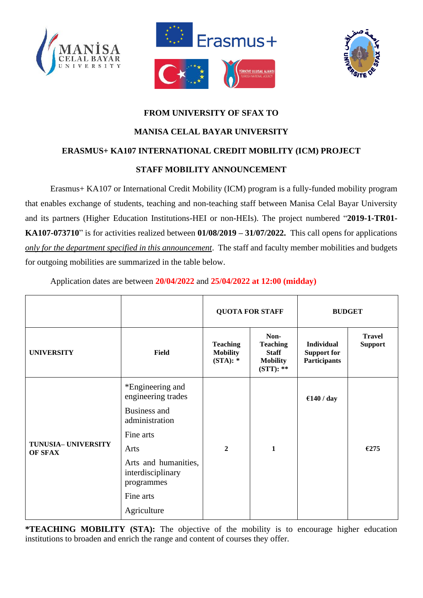





# **FROM UNIVERSITY OF SFAX TO MANISA CELAL BAYAR UNIVERSITY ERASMUS+ KA107 INTERNATIONAL CREDIT MOBILITY (ICM) PROJECT STAFF MOBILITY ANNOUNCEMENT**

Erasmus+ KA107 or International Credit Mobility (ICM) program is a fully-funded mobility program that enables exchange of students, teaching and non-teaching staff between Manisa Celal Bayar University and its partners (Higher Education Institutions-HEI or non-HEIs). The project numbered "**2019-1-TR01- KA107-073710**" is for activities realized between **01/08/2019 – 31/07/2022.** This call opens for applications *only for the department specified in this announcement*. The staff and faculty member mobilities and budgets for outgoing mobilities are summarized in the table below.

|                                |                                                         | <b>QUOTA FOR STAFF</b>                       |                                                                           | <b>BUDGET</b>                                                  |                                 |
|--------------------------------|---------------------------------------------------------|----------------------------------------------|---------------------------------------------------------------------------|----------------------------------------------------------------|---------------------------------|
| <b>UNIVERSITY</b>              | Field                                                   | <b>Teaching</b><br><b>Mobility</b><br>(STA): | Non-<br><b>Teaching</b><br><b>Staff</b><br><b>Mobility</b><br>$(STT): **$ | <b>Individual</b><br><b>Support for</b><br><b>Participants</b> | <b>Travel</b><br><b>Support</b> |
| TUNUSIA- UNIVERSITY<br>OF SFAX | *Engineering and<br>engineering trades                  |                                              |                                                                           | €140 / day                                                     |                                 |
|                                | Business and<br>administration                          |                                              |                                                                           |                                                                |                                 |
|                                | Fine arts                                               |                                              |                                                                           |                                                                |                                 |
|                                | Arts                                                    | $\overline{2}$                               | $\mathbf{1}$                                                              |                                                                | €275                            |
|                                | Arts and humanities,<br>interdisciplinary<br>programmes |                                              |                                                                           |                                                                |                                 |
|                                | Fine arts                                               |                                              |                                                                           |                                                                |                                 |
|                                | Agriculture                                             |                                              |                                                                           |                                                                |                                 |

Application dates are between **20/04/2022** and **25/04/2022 at 12:00 (midday)**

**\*TEACHING MOBILITY (STA):** The objective of the mobility is to encourage higher education institutions to broaden and enrich the range and content of courses they offer.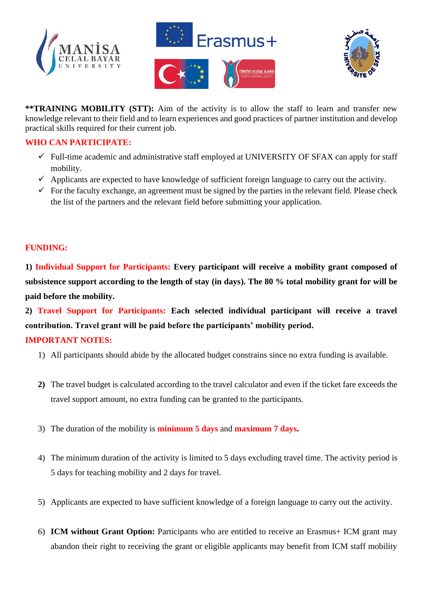





**\*\*TRAINING MOBILITY (STT):** Aim of the activity is to allow the staff to learn and transfer new knowledge relevant to their field and to learn experiences and good practices of partner institution and develop practical skills required for their current job.

#### **WHO CAN PARTICIPATE:**

- $\checkmark$  Full-time academic and administrative staff employed at UNIVERSITY OF SFAX can apply for staff mobility.
- $\checkmark$  Applicants are expected to have knowledge of sufficient foreign language to carry out the activity.
- $\checkmark$  For the faculty exchange, an agreement must be signed by the parties in the relevant field. Please check the list of the partners and the relevant field before submitting your application.

# **FUNDING:**

**1) Individual Support for Participants: Every participant will receive a mobility grant composed of subsistence support according to the length of stay (in days). The 80 % total mobility grant for will be paid before the mobility.**

**2) Travel Support for Participants: Each selected individual participant will receive a travel contribution. Travel grant will be paid before the participants' mobility period. IMPORTANT NOTES:** 

- 1) All participants should abide by the allocated budget constrains since no extra funding is available.
- **2)** The travel budget is calculated according to the travel calculator and even if the ticket fare exceeds the travel support amount, no extra funding can be granted to the participants.
- 3) The duration of the mobility is **minimum 5 days** and **maximum 7 days.**
- 4) The minimum duration of the activity is limited to 5 days excluding travel time. The activity period is 5 days for teaching mobility and 2 days for travel.
- 5) Applicants are expected to have sufficient knowledge of a foreign language to carry out the activity.
- 6) **ICM without Grant Option:** Participants who are entitled to receive an Erasmus+ ICM grant may abandon their right to receiving the grant or eligible applicants may benefit from ICM staff mobility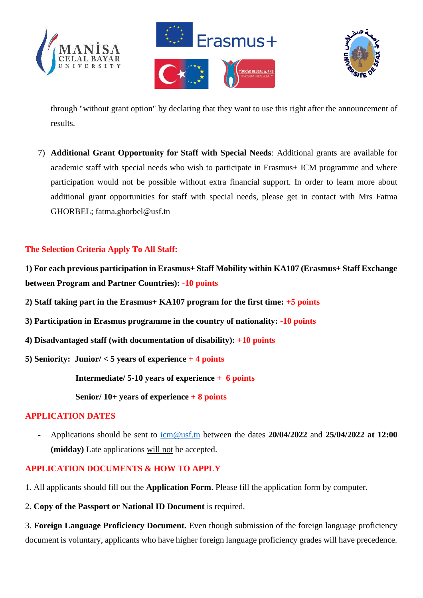





through "without grant option" by declaring that they want to use this right after the announcement of results.

7) **Additional Grant Opportunity for Staff with Special Needs**: Additional grants are available for academic staff with special needs who wish to participate in Erasmus+ ICM programme and where participation would not be possible without extra financial support. In order to learn more about additional grant opportunities for staff with special needs, please get in contact with Mrs Fatma GHORBEL; fatma.ghorbel@usf.tn

# **The Selection Criteria Apply To All Staff:**

**1) For each previous participation in Erasmus+ Staff Mobility within KA107 (Erasmus+ Staff Exchange between Program and Partner Countries): -10 points**

**2) Staff taking part in the Erasmus+ KA107 program for the first time: +5 points**

- **3) Participation in Erasmus programme in the country of nationality: -10 points**
- **4) Disadvantaged staff (with documentation of disability): +10 points**
- **5) Seniority: Junior/ < 5 years of experience + 4 points**

**Intermediate/ 5-10 years of experience + 6 points**

**Senior/ 10+ years of experience + 8 points**

### **APPLICATION DATES**

**-** Applications should be sent to [icm@usf.tn](mailto:icm@usf.tn) between the dates **20/04/2022** and **25/04/2022 at 12:00 (midday)** Late applications will not be accepted.

#### **APPLICATION DOCUMENTS & HOW TO APPLY**

1. All applicants should fill out the **Application Form**. Please fill the application form by computer.

2. **Copy of the Passport or National ID Document** is required.

3. **Foreign Language Proficiency Document.** Even though submission of the foreign language proficiency document is voluntary, applicants who have higher foreign language proficiency grades will have precedence.